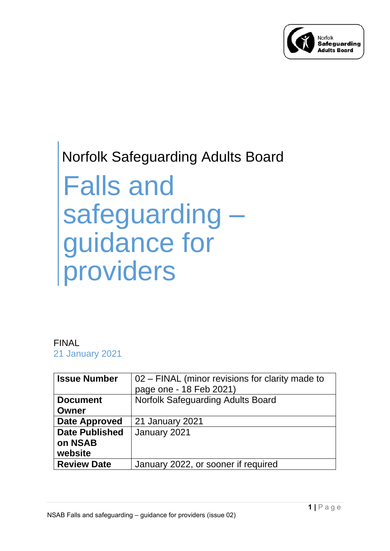

# Norfolk Safeguarding Adults Board

Falls and safeguarding – guidance for providers

# FINAL

21 January 2021

| <b>Issue Number</b>   | 02 - FINAL (minor revisions for clarity made to |
|-----------------------|-------------------------------------------------|
|                       | page one - 18 Feb 2021)                         |
| <b>Document</b>       | <b>Norfolk Safeguarding Adults Board</b>        |
| Owner                 |                                                 |
| <b>Date Approved</b>  | 21 January 2021                                 |
| <b>Date Published</b> | January 2021                                    |
| on NSAB               |                                                 |
| website               |                                                 |
| <b>Review Date</b>    | January 2022, or sooner if required             |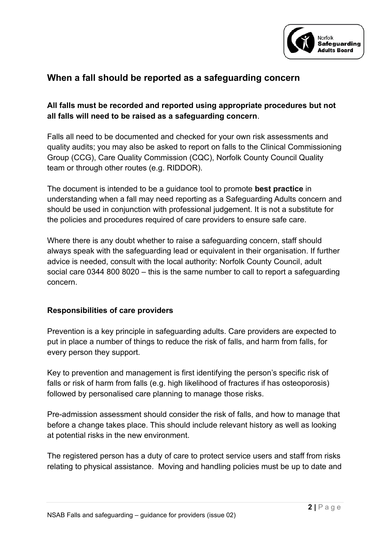

# **When a fall should be reported as a safeguarding concern**

## **All falls must be recorded and reported using appropriate procedures but not all falls will need to be raised as a safeguarding concern**.

Falls all need to be documented and checked for your own risk assessments and quality audits; you may also be asked to report on falls to the Clinical Commissioning Group (CCG), Care Quality Commission (CQC), Norfolk County Council Quality team or through other routes (e.g. RIDDOR).

The document is intended to be a guidance tool to promote **best practice** in understanding when a fall may need reporting as a Safeguarding Adults concern and should be used in conjunction with professional judgement. It is not a substitute for the policies and procedures required of care providers to ensure safe care.

Where there is any doubt whether to raise a safeguarding concern, staff should always speak with the safeguarding lead or equivalent in their organisation. If further advice is needed, consult with the local authority: Norfolk County Council, adult social care 0344 800 8020 – this is the same number to call to report a safeguarding concern.

#### **Responsibilities of care providers**

Prevention is a key principle in safeguarding adults. Care providers are expected to put in place a number of things to reduce the risk of falls, and harm from falls, for every person they support.

Key to prevention and management is first identifying the person's specific risk of falls or risk of harm from falls (e.g. high likelihood of fractures if has osteoporosis) followed by personalised care planning to manage those risks.

Pre-admission assessment should consider the risk of falls, and how to manage that before a change takes place. This should include relevant history as well as looking at potential risks in the new environment.

The registered person has a duty of care to protect service users and staff from risks relating to physical assistance. Moving and handling policies must be up to date and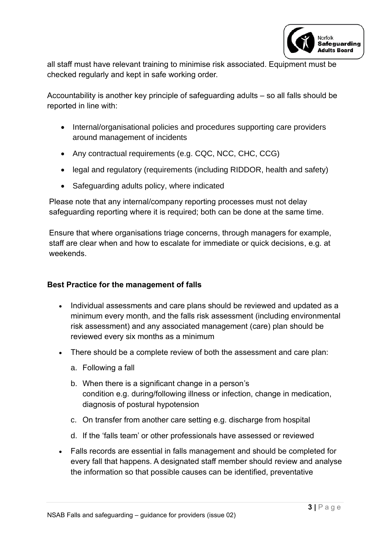

all staff must have relevant training to minimise risk associated. Equipment must be checked regularly and kept in safe working order.

Accountability is another key principle of safeguarding adults – so all falls should be reported in line with:

- Internal/organisational policies and procedures supporting care providers around management of incidents
- Any contractual requirements (e.g. CQC, NCC, CHC, CCG)
- legal and regulatory (requirements (including RIDDOR, health and safety)
- Safeguarding adults policy, where indicated

Please note that any internal/company reporting processes must not delay safeguarding reporting where it is required; both can be done at the same time.

Ensure that where organisations triage concerns, through managers for example, staff are clear when and how to escalate for immediate or quick decisions, e.g. at weekends.

## **Best Practice for the management of falls**

- Individual assessments and care plans should be reviewed and updated as a minimum every month, and the falls risk assessment (including environmental risk assessment) and any associated management (care) plan should be reviewed every six months as a minimum
- There should be a complete review of both the assessment and care plan:
	- a. Following a fall
	- b. When there is a significant change in a person's condition e.g. during/following illness or infection, change in medication, diagnosis of postural hypotension
	- c. On transfer from another care setting e.g. discharge from hospital
	- d. If the 'falls team' or other professionals have assessed or reviewed
- Falls records are essential in falls management and should be completed for every fall that happens. A designated staff member should review and analyse the information so that possible causes can be identified, preventative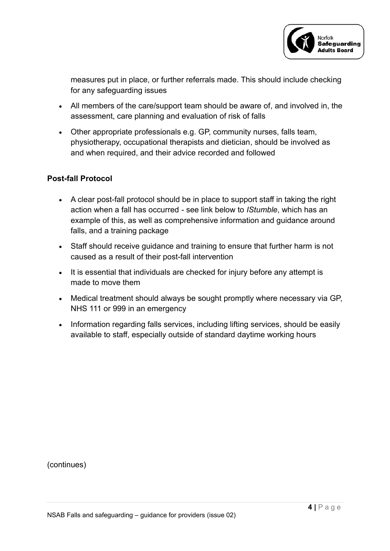

measures put in place, or further referrals made. This should include checking for any safeguarding issues

- All members of the care/support team should be aware of, and involved in, the assessment, care planning and evaluation of risk of falls
- Other appropriate professionals e.g. GP, community nurses, falls team, physiotherapy, occupational therapists and dietician, should be involved as and when required, and their advice recorded and followed

#### **Post-fall Protocol**

- A clear post-fall protocol should be in place to support staff in taking the right action when a fall has occurred - see link below to *IStumble*, which has an example of this, as well as comprehensive information and guidance around falls, and a training package
- Staff should receive guidance and training to ensure that further harm is not caused as a result of their post-fall intervention
- It is essential that individuals are checked for injury before any attempt is made to move them
- Medical treatment should always be sought promptly where necessary via GP, NHS 111 or 999 in an emergency
- Information regarding falls services, including lifting services, should be easily available to staff, especially outside of standard daytime working hours

(continues)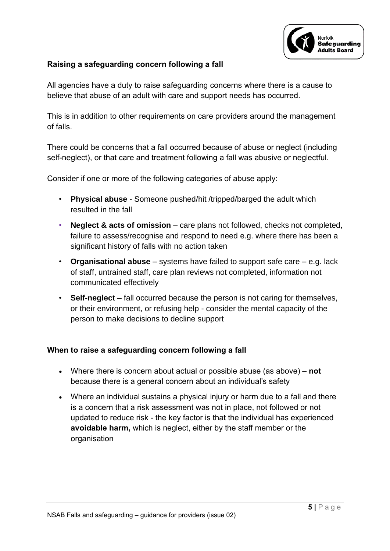

## **Raising a safeguarding concern following a fall**

All agencies have a duty to raise safeguarding concerns where there is a cause to believe that abuse of an adult with care and support needs has occurred.

This is in addition to other requirements on care providers around the management of falls.

There could be concerns that a fall occurred because of abuse or neglect (including self-neglect), or that care and treatment following a fall was abusive or neglectful.

Consider if one or more of the following categories of abuse apply:

- **Physical abuse** Someone pushed/hit /tripped/barged the adult which resulted in the fall
- **Neglect & acts of omission** care plans not followed, checks not completed, failure to assess/recognise and respond to need e.g. where there has been a significant history of falls with no action taken
- **Organisational abuse** systems have failed to support safe care e.g. lack of staff, untrained staff, care plan reviews not completed, information not communicated effectively
- **Self-neglect** fall occurred because the person is not caring for themselves, or their environment, or refusing help - consider the mental capacity of the person to make decisions to decline support

#### **When to raise a safeguarding concern following a fall**

- Where there is concern about actual or possible abuse (as above) **not**  because there is a general concern about an individual's safety
- Where an individual sustains a physical injury or harm due to a fall and there is a concern that a risk assessment was not in place, not followed or not updated to reduce risk - the key factor is that the individual has experienced **avoidable harm,** which is neglect, either by the staff member or the organisation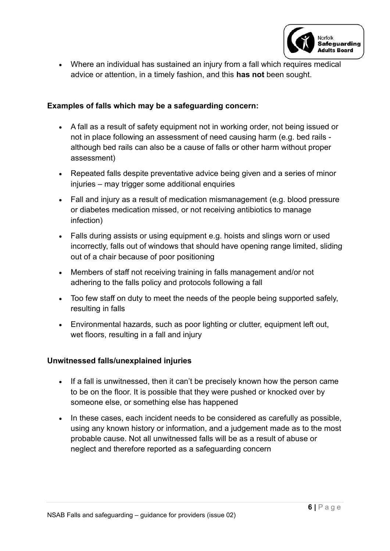

• Where an individual has sustained an injury from a fall which requires medical advice or attention, in a timely fashion, and this **has not** been sought.

#### **Examples of falls which may be a safeguarding concern:**

- A fall as a result of safety equipment not in working order, not being issued or not in place following an assessment of need causing harm (e.g. bed rails although bed rails can also be a cause of falls or other harm without proper assessment)
- Repeated falls despite preventative advice being given and a series of minor injuries – may trigger some additional enquiries
- Fall and injury as a result of medication mismanagement (e.g. blood pressure or diabetes medication missed, or not receiving antibiotics to manage infection)
- Falls during assists or using equipment e.g. hoists and slings worn or used incorrectly, falls out of windows that should have opening range limited, sliding out of a chair because of poor positioning
- Members of staff not receiving training in falls management and/or not adhering to the falls policy and protocols following a fall
- Too few staff on duty to meet the needs of the people being supported safely, resulting in falls
- Environmental hazards, such as poor lighting or clutter, equipment left out, wet floors, resulting in a fall and injury

#### **Unwitnessed falls/unexplained injuries**

- If a fall is unwitnessed, then it can't be precisely known how the person came to be on the floor. It is possible that they were pushed or knocked over by someone else, or something else has happened
- In these cases, each incident needs to be considered as carefully as possible, using any known history or information, and a judgement made as to the most probable cause. Not all unwitnessed falls will be as a result of abuse or neglect and therefore reported as a safeguarding concern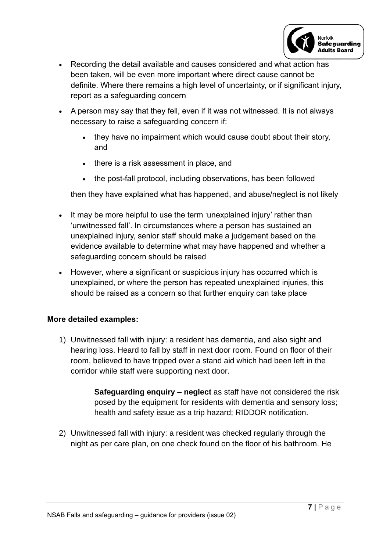

- Recording the detail available and causes considered and what action has been taken, will be even more important where direct cause cannot be definite. Where there remains a high level of uncertainty, or if significant injury, report as a safeguarding concern
- A person may say that they fell, even if it was not witnessed. It is not always necessary to raise a safeguarding concern if:
	- they have no impairment which would cause doubt about their story, and
	- there is a risk assessment in place, and
	- the post-fall protocol, including observations, has been followed

then they have explained what has happened, and abuse/neglect is not likely

- It may be more helpful to use the term 'unexplained injury' rather than 'unwitnessed fall'. In circumstances where a person has sustained an unexplained injury, senior staff should make a judgement based on the evidence available to determine what may have happened and whether a safeguarding concern should be raised
- However, where a significant or suspicious injury has occurred which is unexplained, or where the person has repeated unexplained injuries, this should be raised as a concern so that further enquiry can take place

#### **More detailed examples:**

1) Unwitnessed fall with injury: a resident has dementia, and also sight and hearing loss. Heard to fall by staff in next door room. Found on floor of their room, believed to have tripped over a stand aid which had been left in the corridor while staff were supporting next door.

> **Safeguarding enquiry** – **neglect** as staff have not considered the risk posed by the equipment for residents with dementia and sensory loss; health and safety issue as a trip hazard; RIDDOR notification.

2) Unwitnessed fall with injury: a resident was checked regularly through the night as per care plan, on one check found on the floor of his bathroom. He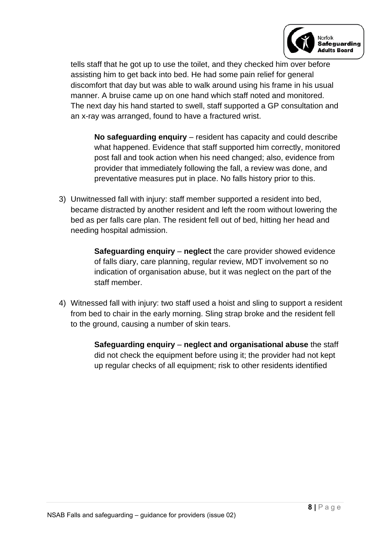

tells staff that he got up to use the toilet, and they checked him over before assisting him to get back into bed. He had some pain relief for general discomfort that day but was able to walk around using his frame in his usual manner. A bruise came up on one hand which staff noted and monitored. The next day his hand started to swell, staff supported a GP consultation and an x-ray was arranged, found to have a fractured wrist.

**No safeguarding enquiry** – resident has capacity and could describe what happened. Evidence that staff supported him correctly, monitored post fall and took action when his need changed; also, evidence from provider that immediately following the fall, a review was done, and preventative measures put in place. No falls history prior to this.

3) Unwitnessed fall with injury: staff member supported a resident into bed, became distracted by another resident and left the room without lowering the bed as per falls care plan. The resident fell out of bed, hitting her head and needing hospital admission.

> **Safeguarding enquiry** – **neglect** the care provider showed evidence of falls diary, care planning, regular review, MDT involvement so no indication of organisation abuse, but it was neglect on the part of the staff member.

- 4) Witnessed fall with injury: two staff used a hoist and sling to support a resident from bed to chair in the early morning. Sling strap broke and the resident fell to the ground, causing a number of skin tears.
	- **Safeguarding enquiry neglect and organisational abuse** the staff did not check the equipment before using it; the provider had not kept up regular checks of all equipment; risk to other residents identified